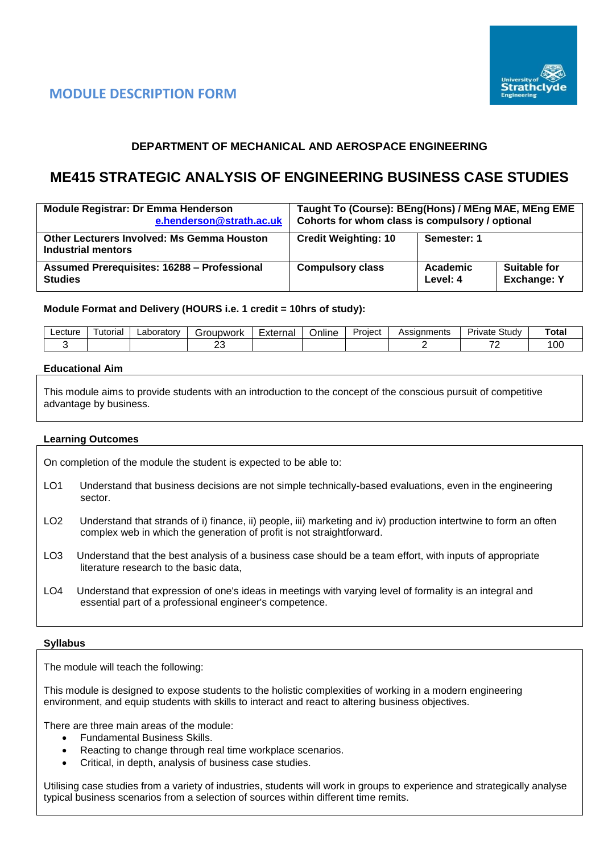



# **DEPARTMENT OF MECHANICAL AND AEROSPACE ENGINEERING**

# **ME415 STRATEGIC ANALYSIS OF ENGINEERING BUSINESS CASE STUDIES**

| <b>Module Registrar: Dr Emma Henderson</b><br>e.henderson@strath.ac.uk  | Taught To (Course): BEng(Hons) / MEng MAE, MEng EME<br>Cohorts for whom class is compulsory / optional |                      |                                    |
|-------------------------------------------------------------------------|--------------------------------------------------------------------------------------------------------|----------------------|------------------------------------|
| <b>Other Lecturers Involved: Ms Gemma Houston</b><br>Industrial mentors | <b>Credit Weighting: 10</b>                                                                            | Semester: 1          |                                    |
| Assumed Prerequisites: 16288 - Professional<br><b>Studies</b>           | <b>Compulsory class</b>                                                                                | Academic<br>Level: 4 | Suitable for<br><b>Exchange: Y</b> |

### **Module Format and Delivery (HOURS i.e. 1 credit = 10hrs of study):**

| ∟ecture | utorial | ∟aborator∨ | iroupwork<br>. . | Externa | <br>-<br>Jnline | -<br>Project | Assianments | Study<br>Private | Total          |
|---------|---------|------------|------------------|---------|-----------------|--------------|-------------|------------------|----------------|
|         |         |            | ~~<br>∼          |         |                 |              |             | -                | $\sim$<br>∣ ∪∪ |

#### **Educational Aim**

This module aims to provide students with an introduction to the concept of the conscious pursuit of competitive advantage by business.

#### **Learning Outcomes**

On completion of the module the student is expected to be able to:

- LO1 Understand that business decisions are not simple technically-based evaluations, even in the engineering sector.
- LO2 Understand that strands of i) finance, ii) people, iii) marketing and iv) production intertwine to form an often complex web in which the generation of profit is not straightforward.
- LO3 Understand that the best analysis of a business case should be a team effort, with inputs of appropriate literature research to the basic data,
- LO4 Understand that expression of one's ideas in meetings with varying level of formality is an integral and essential part of a professional engineer's competence.

#### **Syllabus**

The module will teach the following:

This module is designed to expose students to the holistic complexities of working in a modern engineering environment, and equip students with skills to interact and react to altering business objectives.

There are three main areas of the module:

- Fundamental Business Skills.
- Reacting to change through real time workplace scenarios.
- Critical, in depth, analysis of business case studies.

Utilising case studies from a variety of industries, students will work in groups to experience and strategically analyse typical business scenarios from a selection of sources within different time remits.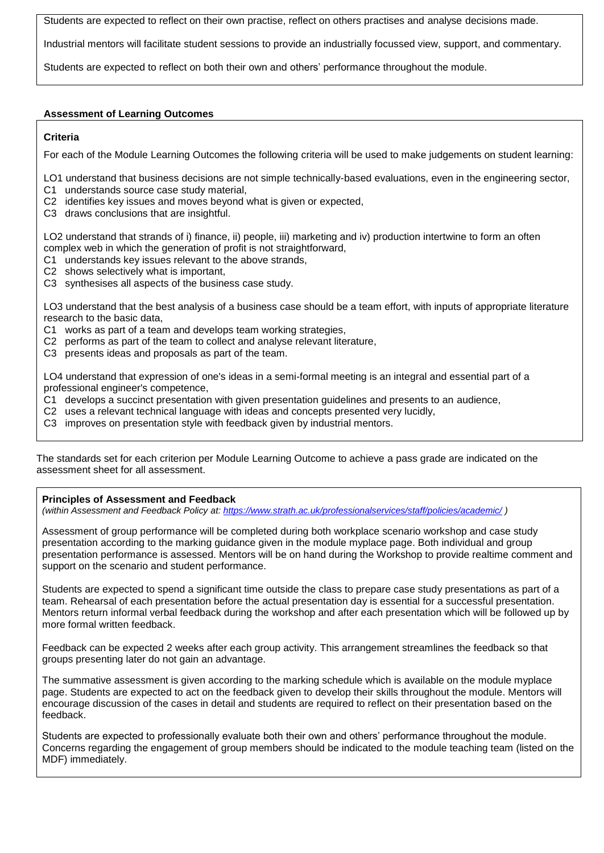Students are expected to reflect on their own practise, reflect on others practises and analyse decisions made.

Industrial mentors will facilitate student sessions to provide an industrially focussed view, support, and commentary.

Students are expected to reflect on both their own and others' performance throughout the module.

# **Assessment of Learning Outcomes**

### **Criteria**

For each of the Module Learning Outcomes the following criteria will be used to make judgements on student learning:

LO1 understand that business decisions are not simple technically-based evaluations, even in the engineering sector,

- C1 understands source case study material,
- C2 identifies key issues and moves beyond what is given or expected,
- C3 draws conclusions that are insightful.

LO2 understand that strands of i) finance, ii) people, iii) marketing and iv) production intertwine to form an often complex web in which the generation of profit is not straightforward,

- C1 understands key issues relevant to the above strands,
- C2 shows selectively what is important,
- C3 synthesises all aspects of the business case study.

LO3 understand that the best analysis of a business case should be a team effort, with inputs of appropriate literature research to the basic data,

- C1 works as part of a team and develops team working strategies,
- C2 performs as part of the team to collect and analyse relevant literature,
- C3 presents ideas and proposals as part of the team.

LO4 understand that expression of one's ideas in a semi-formal meeting is an integral and essential part of a professional engineer's competence,

- C1 develops a succinct presentation with given presentation guidelines and presents to an audience,
- C2 uses a relevant technical language with ideas and concepts presented very lucidly,
- C3 improves on presentation style with feedback given by industrial mentors.

The standards set for each criterion per Module Learning Outcome to achieve a pass grade are indicated on the assessment sheet for all assessment.

**Principles of Assessment and Feedback**

*(within Assessment and Feedback Policy at: <https://www.strath.ac.uk/professionalservices/staff/policies/academic/> )*

Assessment of group performance will be completed during both workplace scenario workshop and case study presentation according to the marking guidance given in the module myplace page. Both individual and group presentation performance is assessed. Mentors will be on hand during the Workshop to provide realtime comment and support on the scenario and student performance.

Students are expected to spend a significant time outside the class to prepare case study presentations as part of a team. Rehearsal of each presentation before the actual presentation day is essential for a successful presentation. Mentors return informal verbal feedback during the workshop and after each presentation which will be followed up by more formal written feedback.

Feedback can be expected 2 weeks after each group activity. This arrangement streamlines the feedback so that groups presenting later do not gain an advantage.

The summative assessment is given according to the marking schedule which is available on the module myplace page. Students are expected to act on the feedback given to develop their skills throughout the module. Mentors will encourage discussion of the cases in detail and students are required to reflect on their presentation based on the feedback.

Students are expected to professionally evaluate both their own and others' performance throughout the module. Concerns regarding the engagement of group members should be indicated to the module teaching team (listed on the MDF) immediately.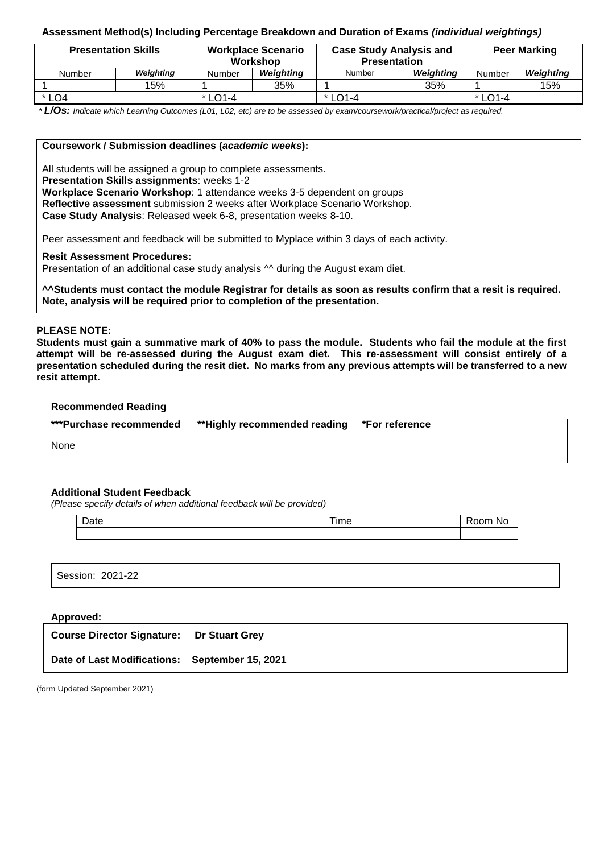# **Assessment Method(s) Including Percentage Breakdown and Duration of Exams** *(individual weightings)*

| <b>Presentation Skills</b> |           |           | <b>Workplace Scenario</b><br>Workshop | <b>Case Study Analysis and</b><br><b>Presentation</b> |           | <b>Peer Marking</b> |           |  |
|----------------------------|-----------|-----------|---------------------------------------|-------------------------------------------------------|-----------|---------------------|-----------|--|
| Number                     | Weighting | Number    | <b>Weighting</b>                      | Number                                                | Weighting | Number              | Weighting |  |
|                            | 15%       |           | 35%                                   |                                                       | 35%       |                     | 15%       |  |
| * LO4                      |           | $*$ LO1-4 |                                       | $*$ LO1-4                                             |           | $*$ LO1-4           |           |  |

*\* L/Os: Indicate which Learning Outcomes (L01, L02, etc) are to be assessed by exam/coursework/practical/project as required.*

# **Coursework / Submission deadlines (***academic weeks***):**

All students will be assigned a group to complete assessments.

**Presentation Skills assignments**: weeks 1-2

**Workplace Scenario Workshop**: 1 attendance weeks 3-5 dependent on groups

**Reflective assessment** submission 2 weeks after Workplace Scenario Workshop.

**Case Study Analysis**: Released week 6-8, presentation weeks 8-10.

Peer assessment and feedback will be submitted to Myplace within 3 days of each activity.

#### **Resit Assessment Procedures:**

Presentation of an additional case study analysis  $\sim$  during the August exam diet.

**^^Students must contact the module Registrar for details as soon as results confirm that a resit is required. Note, analysis will be required prior to completion of the presentation.**

#### **PLEASE NOTE:**

**Students must gain a summative mark of 40% to pass the module. Students who fail the module at the first attempt will be re-assessed during the August exam diet. This re-assessment will consist entirely of a presentation scheduled during the resit diet. No marks from any previous attempts will be transferred to a new resit attempt.**

#### **Recommended Reading**

| ***Purchase recommended | **Highly recommended reading *For reference |  |
|-------------------------|---------------------------------------------|--|
|                         |                                             |  |

None

# **Additional Student Feedback**

*(Please specify details of when additional feedback will be provided)*

| Date | $- -$<br>, ime | .<br>'ЧС |
|------|----------------|----------|
|      |                |          |

Session: 2021-22

## **Approved:**

| Course Director Signature: Dr Stuart Grey      |  |
|------------------------------------------------|--|
| Date of Last Modifications: September 15, 2021 |  |

(form Updated September 2021)